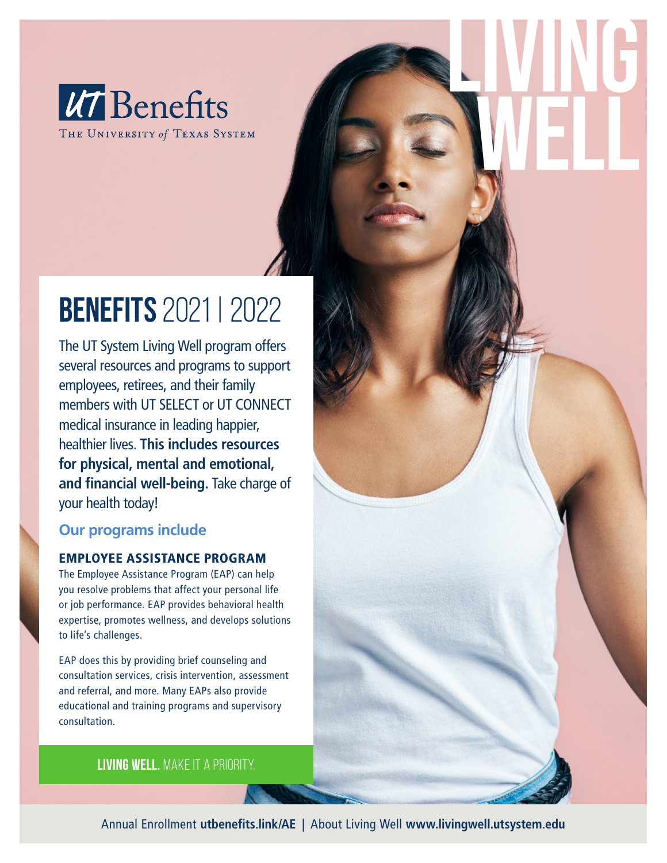

THE UNIVERSITY of TEXAS SYSTEM

# BENEFITS 2021 | 2022

The UT System Living Well program offers several resources and programs to support employees, retirees, and their family members with UT SELECT or UT CONNECT medical insurance in leading happier, healthier lives. **This includes resources for physical, mental and emotional, and financial well-being.** Take charge of your health today!

## **Our programs include**

## EMPLOYEE ASSISTANCE PROGRAM

The Employee Assistance Program (EAP) can help you resolve problems that affect your personal life or job performance. EAP provides behavioral health expertise, promotes wellness, and develops solutions to life's challenges.

EAP does this by providing brief counseling and consultation services, crisis intervention, assessment and referral, and more. Many EAPs also provide educational and training programs and supervisory consultation.

## **Living well.** make it a priority.

Annual Enrollment **utbenefits.link/AE |** About Living Well **www.livingwell.utsystem.edu**

LIVING

WELL